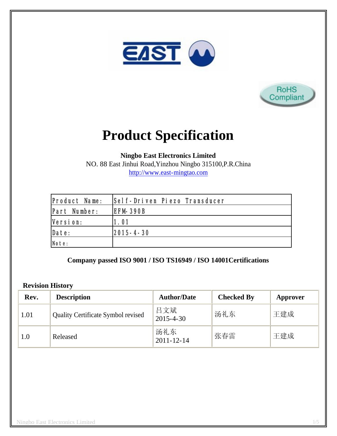



# **Product Specification**

**Ningbo East Electronics Limited**

NO. 88 East Jinhui Road,Yinzhou Ningbo 315100,P.R.China http://www.east-mingtao.com

| <b>Product Name:</b> | Self-Driven Piezo Transducer |
|----------------------|------------------------------|
| Part Number:         | <b>IEFM-390B</b>             |
| Version:             | 1.01                         |
| Date:                | $ 2015 - 4 - 30 $            |
| Note:                |                              |

**Company passed ISO 9001 / ISO TS16949 / ISO 14001Certifications**

#### **Revision History**

| Rev. | <b>Description</b>                        | <b>Author/Date</b>      | <b>Checked By</b> | Approver |
|------|-------------------------------------------|-------------------------|-------------------|----------|
| 1.01 | <b>Quality Certificate Symbol revised</b> | 吕文斌<br>$2015 - 4 - 30$  | 汤礼东               | 王建成      |
| 1.0  | Released                                  | 汤礼东<br>$2011 - 12 - 14$ | 张春雷               | 王建成      |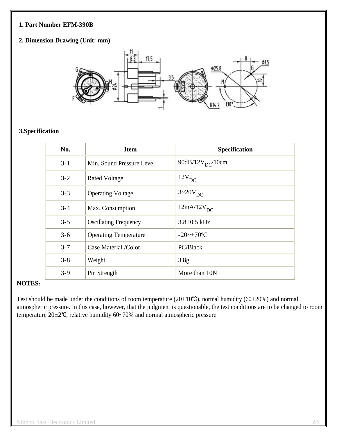#### **1. Part Number EFM-390B**

## **2. Dimension Drawing (Unit: mm)**



## **3.Specification**

| No.     | <b>Item</b>                  | <b>Specification</b>   |
|---------|------------------------------|------------------------|
| $3 - 1$ | Min. Sound Pressure Level    | 90dB/12 $V_{DC}$ /10cm |
| $3 - 2$ | <b>Rated Voltage</b>         | 12V <sub>DC</sub>      |
| $3 - 3$ | <b>Operating Voltage</b>     | $3 \sim 20V_{DC}$      |
| $3 - 4$ | Max. Consumption             | $12mA/12V_{DC}$        |
| $3 - 5$ | <b>Oscillating Frequency</b> | $3.8 \pm 0.5$ kHz      |
| $3-6$   | <b>Operating Temperature</b> | $-20$ ~+70°C           |
| $3 - 7$ | Case Material /Color         | PC/Black               |
| $3 - 8$ | Weight                       | 3.8 <sub>g</sub>       |
| $3-9$   | Pin Strength                 | More than 10N          |

#### **NOTES**:

Test should be made under the conditions of room temperature ( $20\pm10^{\circ}$ C), normal humidity ( $60\pm20$ %) and normal atmospheric pressure. In this case, however, that the judgment is questionable, the test conditions are to be changed to room temperature 20±2℃, relative humidity 60~70% and normal atmospheric pressure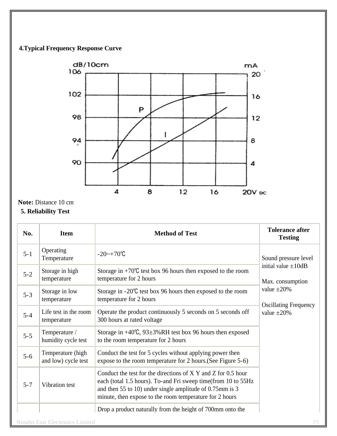## **4.Typical Frequency Response Curve**



**Note:** Distance 10 cm

## **5. Reliability Test**

| No.     | <b>Item</b>                              | <b>Method of Test</b>                                                                                                                                                                                                                                 | <b>Tolerance after</b><br><b>Testing</b>                                                                                                      |
|---------|------------------------------------------|-------------------------------------------------------------------------------------------------------------------------------------------------------------------------------------------------------------------------------------------------------|-----------------------------------------------------------------------------------------------------------------------------------------------|
| $5 - 1$ | Operating<br>Temperature                 | $-20$ ~ $+70$ °C                                                                                                                                                                                                                                      | Sound pressure level<br>initial value $\pm 10$ dB<br>Max. consumption<br>value $\pm 20\%$<br><b>Oscillating Frequency</b><br>value $\pm 20\%$ |
| $5 - 2$ | Storage in high<br>temperature           | Storage in $+70^{\circ}$ C test box 96 hours then exposed to the room<br>temperature for 2 hours                                                                                                                                                      |                                                                                                                                               |
| $5 - 3$ | Storage in low<br>temperature            | Storage in $-20^{\circ}$ C test box 96 hours then exposed to the room<br>temperature for 2 hours                                                                                                                                                      |                                                                                                                                               |
| $5 - 4$ | Life test in the room<br>temperature     | Operate the product continuously 5 seconds on 5 seconds off<br>300 hours at rated voltage                                                                                                                                                             |                                                                                                                                               |
| $5 - 5$ | Temperature /<br>humidity cycle test     | Storage in $+40^{\circ}$ C, 93 $\pm$ 3%RH test box 96 hours then exposed<br>to the room temperature for 2 hours                                                                                                                                       |                                                                                                                                               |
| $5 - 6$ | Temperature (high<br>and low) cycle test | Conduct the test for 5 cycles without applying power then<br>expose to the room temperature for 2 hours. (See Figure 5-6)                                                                                                                             |                                                                                                                                               |
| $5 - 7$ | Vibration test                           | Conduct the test for the directions of X Y and Z for 0.5 hour<br>each (total 1.5 hours). To-and Fri sweep time(from 10 to 55Hz<br>and then 55 to 10) under single amplitude of 0.75mm is 3<br>minute, then expose to the room temperature for 2 hours |                                                                                                                                               |
|         |                                          | Drop a product naturally from the height of 700mm onto the                                                                                                                                                                                            |                                                                                                                                               |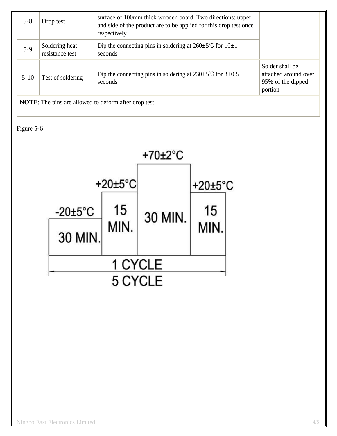| $5 - 8$                                                      | Drop test                         | surface of 100mm thick wooden board. Two directions: upper<br>and side of the product are to be applied for this drop test once<br>respectively |                                                                         |
|--------------------------------------------------------------|-----------------------------------|-------------------------------------------------------------------------------------------------------------------------------------------------|-------------------------------------------------------------------------|
| $5-9$                                                        | Soldering heat<br>resistance test | Dip the connecting pins in soldering at $260 \pm 5^{\circ}$ C for $10 \pm 1$<br>seconds                                                         |                                                                         |
| $5 - 10$                                                     | Test of soldering                 | Dip the connecting pins in soldering at $230 \pm 5^{\circ}$ C for $3 \pm 0.5^{\circ}$<br>seconds                                                | Solder shall be<br>attached around over<br>95% of the dipped<br>portion |
| <b>NOTE:</b> The pins are allowed to deform after drop test. |                                   |                                                                                                                                                 |                                                                         |

Figure 5-6